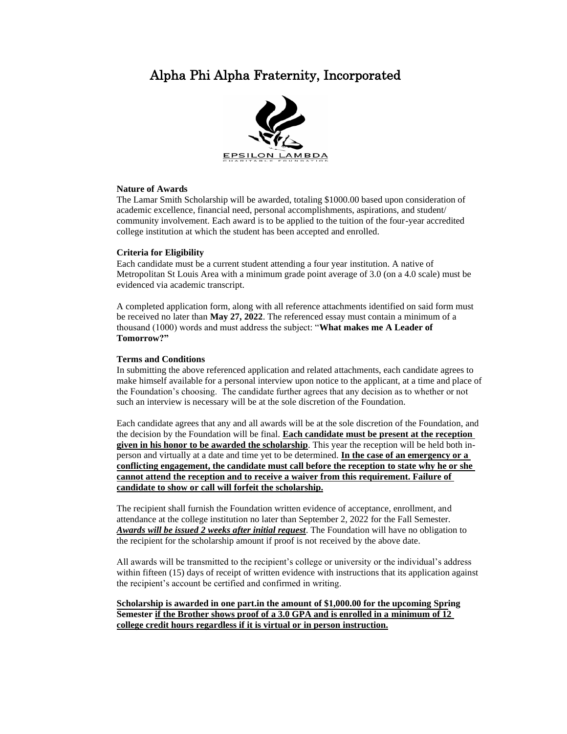## Alpha Phi Alpha Fraternity, Incorporated



### **Nature of Awards**

The Lamar Smith Scholarship will be awarded, totaling \$1000.00 based upon consideration of academic excellence, financial need, personal accomplishments, aspirations, and student/ community involvement. Each award is to be applied to the tuition of the four-year accredited college institution at which the student has been accepted and enrolled.

### **Criteria for Eligibility**

Each candidate must be a current student attending a four year institution. A native of Metropolitan St Louis Area with a minimum grade point average of 3.0 (on a 4.0 scale) must be evidenced via academic transcript.

A completed application form, along with all reference attachments identified on said form must be received no later than **May 27, 2022**. The referenced essay must contain a minimum of a thousand (1000) words and must address the subject: "**What makes me A Leader of Tomorrow?"**

### **Terms and Conditions**

In submitting the above referenced application and related attachments, each candidate agrees to make himself available for a personal interview upon notice to the applicant, at a time and place of the Foundation's choosing. The candidate further agrees that any decision as to whether or not such an interview is necessary will be at the sole discretion of the Foundation.

Each candidate agrees that any and all awards will be at the sole discretion of the Foundation, and the decision by the Foundation will be final. **Each candidate must be present at the reception given in his honor to be awarded the scholarship**. This year the reception will be held both inperson and virtually at a date and time yet to be determined. **In the case of an emergency or a conflicting engagement, the candidate must call before the reception to state why he or she cannot attend the reception and to receive a waiver from this requirement. Failure of candidate to show or call will forfeit the scholarship.**

The recipient shall furnish the Foundation written evidence of acceptance, enrollment, and attendance at the college institution no later than September 2, 2022 for the Fall Semester. *Awards will be issued 2 weeks after initial request*. The Foundation will have no obligation to the recipient for the scholarship amount if proof is not received by the above date.

All awards will be transmitted to the recipient's college or university or the individual's address within fifteen (15) days of receipt of written evidence with instructions that its application against the recipient's account be certified and confirmed in writing.

**Scholarship is awarded in one part.in the amount of \$1,000.00 for the upcoming Spring Semester if the Brother shows proof of a 3.0 GPA and is enrolled in a minimum of 12 college credit hours regardless if it is virtual or in person instruction.**